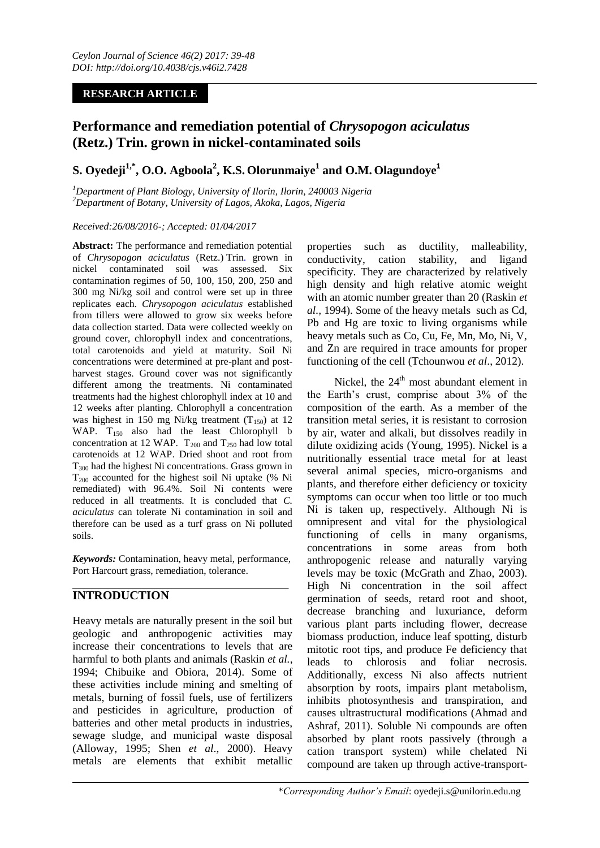# **RESEARCH ARTICLE**

# **Performance and remediation potential of** *Chrysopogon aciculatus* **[\(Retz.\)](https://en.wikipedia.org/wiki/Retz.) [Trin.](https://en.wikipedia.org/wiki/Trin.) grown in nickel-contaminated soils**

# **S. Oyedeji1,\*, O.O. Agboola<sup>2</sup> , K.S. Olorunmaiye<sup>1</sup> and O.M. Olagundoye<sup>1</sup>**

*<sup>1</sup>Department of Plant Biology, University of Ilorin, Ilorin, 240003 Nigeria <sup>2</sup>Department of Botany, University of Lagos, Akoka, Lagos, Nigeria*

### *Received:26/08/2016-; Accepted: 01/04/2017*

**Abstract:** The performance and remediation potential of *Chrysopogon aciculatus* (Retz.) [Trin.](https://en.wikipedia.org/wiki/Trin.) grown in nickel contaminated soil was assessed. Six contamination regimes of 50, 100, 150, 200, 250 and 300 mg Ni/kg soil and control were set up in three replicates each. *Chrysopogon aciculatus* established from tillers were allowed to grow six weeks before data collection started. Data were collected weekly on ground cover, chlorophyll index and concentrations, total carotenoids and yield at maturity. Soil Ni concentrations were determined at pre-plant and postharvest stages. Ground cover was not significantly different among the treatments. Ni contaminated treatments had the highest chlorophyll index at 10 and 12 weeks after planting. Chlorophyll a concentration was highest in 150 mg Ni/kg treatment  $(T_{150})$  at 12 WAP. T<sub>150</sub> also had the least Chlorophyll b concentration at 12 WAP.  $T_{200}$  and  $T_{250}$  had low total carotenoids at 12 WAP. Dried shoot and root from  $T_{300}$  had the highest Ni concentrations. Grass grown in  $T_{200}$  accounted for the highest soil Ni uptake (% Ni remediated) with 96.4%. Soil Ni contents were reduced in all treatments. It is concluded that *C. aciculatus* can tolerate Ni contamination in soil and therefore can be used as a turf grass on Ni polluted soils.

*Keywords:* Contamination, heavy metal, performance, Port Harcourt grass, remediation, tolerance.

# **INTRODUCTION**

Heavy metals are naturally present in the soil but geologic and anthropogenic activities may increase their concentrations to levels that are harmful to both plants and animals (Raskin *et al.*, 1994; Chibuike and Obiora, 2014). Some of these activities include mining and smelting of metals, burning of fossil fuels, use of fertilizers and pesticides in agriculture, production of batteries and other metal products in industries, sewage sludge, and municipal waste disposal (Alloway, 1995; Shen *et al*., 2000). Heavy metals are elements that exhibit metallic

properties such as ductility, malleability, conductivity, cation stability, and ligand specificity. They are characterized by relatively high density and high relative atomic weight with an atomic number greater than 20 (Raskin *et al.,* 1994). Some of the heavy metals such as Cd, Pb and Hg are toxic to living organisms while heavy metals such as Co, Cu, Fe, Mn, Mo, Ni, V, and Zn are required in trace amounts for proper functioning of the cell (Tchounwou *et al*., 2012).

Nickel, the 24<sup>th</sup> most abundant element in the Earth's crust, comprise about 3% of the composition of the earth. As a member of the transition metal series, it is resistant to corrosion by air, water and alkali, but dissolves readily in dilute oxidizing acids (Young, 1995). Nickel is a nutritionally essential trace metal for at least several animal species, micro-organisms and plants, and therefore either deficiency or toxicity symptoms can occur when too little or too much Ni is taken up, respectively. Although Ni is omnipresent and vital for the physiological functioning of cells in many organisms, concentrations in some areas from both anthropogenic release and naturally varying levels may be toxic (McGrath and Zhao, 2003). High Ni concentration in the soil affect germination of seeds, retard root and shoot, decrease branching and luxuriance, deform various plant parts including flower, decrease biomass production, induce leaf spotting, disturb mitotic root tips, and produce Fe deficiency that leads to chlorosis and foliar necrosis. Additionally, excess Ni also affects nutrient absorption by roots, impairs plant metabolism, inhibits photosynthesis and transpiration, and causes ultrastructural modifications (Ahmad and Ashraf, 2011). Soluble Ni compounds are often absorbed by plant roots passively (through a cation transport system) while chelated Ni compound are taken up through active-transport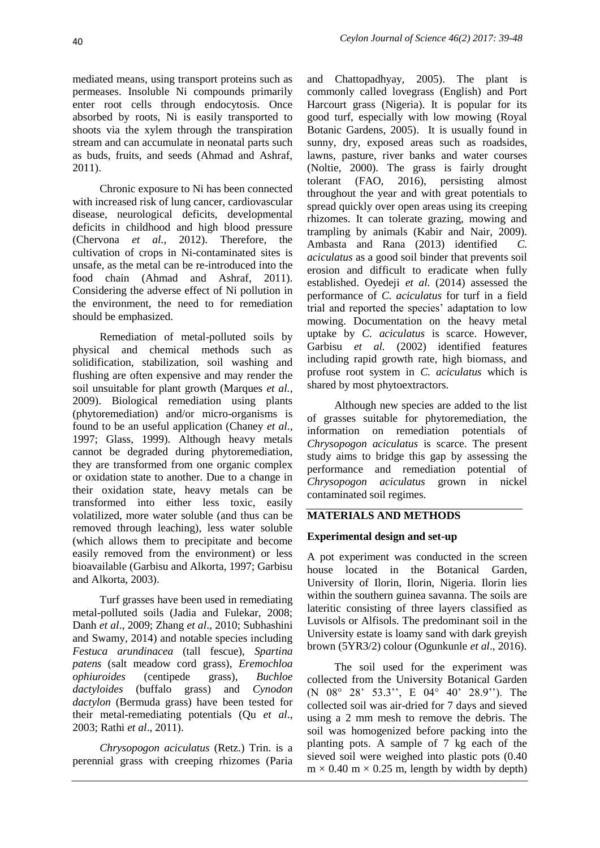mediated means, using transport proteins such as permeases. Insoluble Ni compounds primarily enter root cells through endocytosis. Once absorbed by roots, Ni is easily transported to shoots via the xylem through the transpiration stream and can accumulate in neonatal parts such as buds, fruits, and seeds (Ahmad and Ashraf, 2011).

Chronic exposure to Ni has been connected with increased risk of lung cancer, cardiovascular disease, neurological deficits, developmental deficits in childhood and high blood pressure (Chervona *et al.*, 2012). Therefore, the cultivation of crops in Ni-contaminated sites is unsafe, as the metal can be re-introduced into the food chain (Ahmad and Ashraf, 2011). Considering the adverse effect of Ni pollution in the environment, the need to for remediation should be emphasized.

Remediation of metal-polluted soils by physical and chemical methods such as solidification, stabilization, soil washing and flushing are often expensive and may render the soil unsuitable for plant growth (Marques *et al.*, 2009). Biological remediation using plants (phytoremediation) and/or micro-organisms is found to be an useful application (Chaney *et al.*, 1997; Glass, 1999). Although heavy metals cannot be degraded during phytoremediation, they are transformed from one organic complex or oxidation state to another. Due to a change in their oxidation state, heavy metals can be transformed into either less toxic, easily volatilized, more water soluble (and thus can be removed through leaching), less water soluble (which allows them to precipitate and become easily removed from the environment) or less bioavailable (Garbisu and Alkorta, 1997; Garbisu and Alkorta, 2003).

Turf grasses have been used in remediating metal-polluted soils (Jadia and Fulekar, 2008; Danh *et al*., 2009; Zhang *et al*., 2010; Subhashini and Swamy, 2014) and notable species including *Festuca arundinacea* (tall fescue), *Spartina patens* (salt meadow cord grass), *Eremochloa ophiuroides* (centipede grass), *Buchloe dactyloides* (buffalo grass) and *Cynodon dactylon* (Bermuda grass) have been tested for their metal-remediating potentials (Qu *et al*., 2003; Rathi *et al*., 2011).

*Chrysopogon aciculatus* (Retz.) Trin. is a perennial grass with creeping rhizomes (Paria

and Chattopadhyay, 2005). The plant is commonly called lovegrass (English) and Port Harcourt grass (Nigeria). It is popular for its good turf, especially with low mowing (Royal Botanic Gardens, 2005). It is usually found in sunny, dry, exposed areas such as roadsides, lawns, pasture, river banks and water courses (Noltie, 2000). The grass is fairly drought tolerant (FAO, 2016), persisting almost throughout the year and with great potentials to spread quickly over open areas using its creeping rhizomes. It can tolerate grazing, mowing and trampling by animals (Kabir and Nair, 2009). Ambasta and Rana (2013) identified *C. aciculatus* as a good soil binder that prevents soil erosion and difficult to eradicate when fully established. Oyedeji *et al.* (2014) assessed the performance of *C. aciculatus* for turf in a field trial and reported the species' adaptation to low mowing. Documentation on the heavy metal uptake by *C. aciculatus* is scarce. However, Garbisu *et al.* (2002) identified features including rapid growth rate, high biomass, and profuse root system in *C. aciculatus* which is shared by most phytoextractors.

Although new species are added to the list of grasses suitable for phytoremediation, the information on remediation potentials of *Chrysopogon aciculatus* is scarce. The present study aims to bridge this gap by assessing the performance and remediation potential of *Chrysopogon aciculatus* grown in nickel contaminated soil regimes.

# **MATERIALS AND METHODS**

## **Experimental design and set-up**

A pot experiment was conducted in the screen house located in the Botanical Garden, University of Ilorin, Ilorin, Nigeria. Ilorin lies within the southern guinea savanna. The soils are lateritic consisting of three layers classified as Luvisols or Alfisols. The predominant soil in the University estate is loamy sand with dark greyish brown (5YR3/2) colour (Ogunkunle *et al*., 2016).

The soil used for the experiment was collected from the University Botanical Garden (N 08° 28' 53.3'', E 04° 40' 28.9''). The collected soil was air-dried for 7 days and sieved using a 2 mm mesh to remove the debris. The soil was homogenized before packing into the planting pots. A sample of 7 kg each of the sieved soil were weighed into plastic pots (0.40  $m \times 0.40$  m  $\times 0.25$  m, length by width by depth)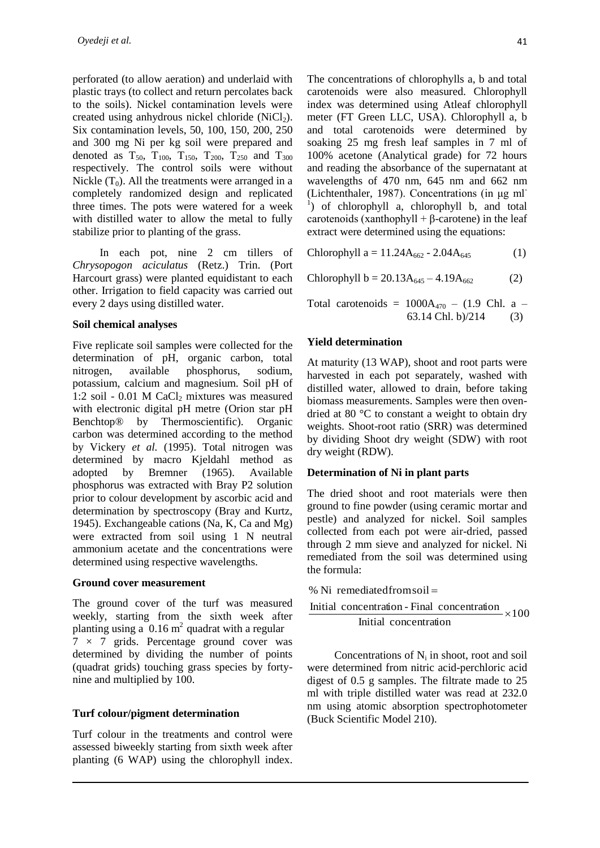perforated (to allow aeration) and underlaid with plastic trays (to collect and return percolates back to the soils). Nickel contamination levels were created using anhydrous nickel chloride  $(NiCl<sub>2</sub>)$ . Six contamination levels, 50, 100, 150, 200, 250 and 300 mg Ni per kg soil were prepared and denoted as  $T_{50}$ ,  $T_{100}$ ,  $T_{150}$ ,  $T_{200}$ ,  $T_{250}$  and  $T_{300}$ respectively. The control soils were without Nickle  $(T_0)$ . All the treatments were arranged in a completely randomized design and replicated three times. The pots were watered for a week with distilled water to allow the metal to fully stabilize prior to planting of the grass.

In each pot, nine 2 cm tillers of *Chrysopogon aciculatus* (Retz.) Trin. (Port Harcourt grass) were planted equidistant to each other. Irrigation to field capacity was carried out every 2 days using distilled water.

#### **Soil chemical analyses**

Five replicate soil samples were collected for the determination of pH, organic carbon, total nitrogen, available phosphorus, sodium, potassium, calcium and magnesium. Soil pH of 1:2 soil - 0.01 M CaCl<sub>2</sub> mixtures was measured with electronic digital pH metre (Orion star pH Benchtop® by Thermoscientific). Organic carbon was determined according to the method by Vickery *et al.* (1995). Total nitrogen was determined by macro Kjeldahl method as adopted by Bremner (1965). Available phosphorus was extracted with Bray P2 solution prior to colour development by ascorbic acid and determination by spectroscopy (Bray and Kurtz, 1945). Exchangeable cations (Na, K, Ca and Mg) were extracted from soil using 1 N neutral ammonium acetate and the concentrations were determined using respective wavelengths.

#### **Ground cover measurement**

The ground cover of the turf was measured weekly, starting from the sixth week after planting using a  $0.16 \text{ m}^2$  quadrat with a regular  $7 \times 7$  grids. Percentage ground cover was determined by dividing the number of points (quadrat grids) touching grass species by fortynine and multiplied by 100.

## **Turf colour/pigment determination**

Turf colour in the treatments and control were assessed biweekly starting from sixth week after planting (6 WAP) using the chlorophyll index. The concentrations of chlorophylls a, b and total carotenoids were also measured. Chlorophyll index was determined using Atleaf chlorophyll meter (FT Green LLC, USA). Chlorophyll a, b and total carotenoids were determined by soaking 25 mg fresh leaf samples in 7 ml of 100% acetone (Analytical grade) for 72 hours and reading the absorbance of the supernatant at wavelengths of 470 nm, 645 nm and 662 nm (Lichtenthaler, 1987). Concentrations (in μg ml-1 ) of chlorophyll a, chlorophyll b, and total carotenoids (xanthophyll  $+ \beta$ -carotene) in the leaf extract were determined using the equations:

Chlorophyll a =  $11.24A_{662} - 2.04A_{645}$ (1)

Chlorophyll b = 
$$
20.13A_{645} - 4.19A_{662}
$$
 (2)

Total carotenoids =  $1000A_{470}$  – (1.9 Chl. a – 63.14 Chl. b) $/214$  (3)

### **Yield determination**

At maturity (13 WAP), shoot and root parts were harvested in each pot separately, washed with distilled water, allowed to drain, before taking biomass measurements. Samples were then ovendried at 80 °C to constant a weight to obtain dry weights. Shoot-root ratio (SRR) was determined by dividing Shoot dry weight (SDW) with root dry weight (RDW).

#### **Determination of Ni in plant parts**

The dried shoot and root materials were then ground to fine powder (using ceramic mortar and pestle) and analyzed for nickel. Soil samples collected from each pot were air-dried, passed through 2 mm sieve and analyzed for nickel. Ni remediated from the soil was determined using the formula:

100 Initial concentration Initial concentration - Final concentration % Ni remediatedfromsoil 

Concentrations of  $N_i$  in shoot, root and soil were determined from nitric acid-perchloric acid digest of 0.5 g samples. The filtrate made to 25 ml with triple distilled water was read at 232.0 nm using atomic absorption spectrophotometer (Buck Scientific Model 210).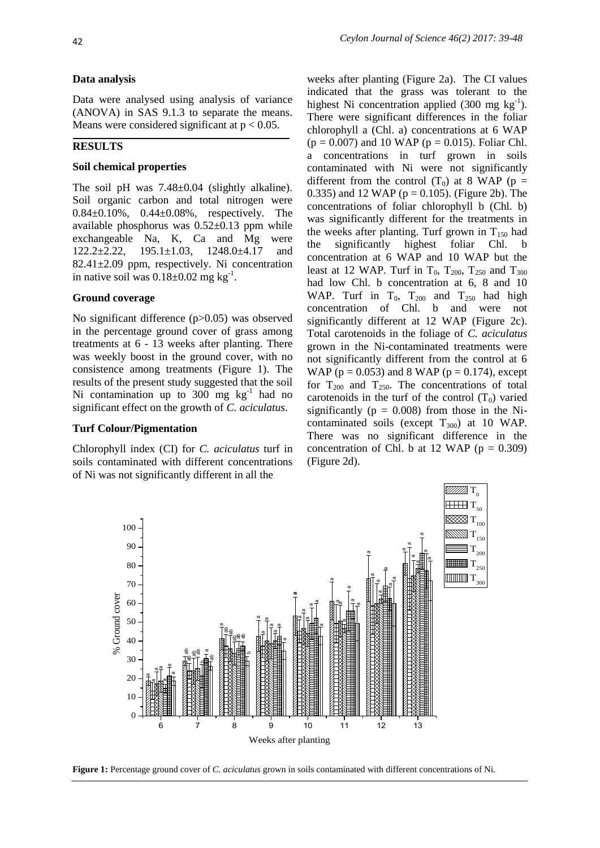#### **Data analysis**

Data were analysed using analysis of variance (ANOVA) in SAS 9.1.3 to separate the means. Means were considered significant at  $p < 0.05$ .

#### **RESULTS**

#### **Soil chemical properties**

The soil pH was  $7.48\pm0.04$  (slightly alkaline). Soil organic carbon and total nitrogen were 0.84±0.10%, 0.44±0.08%, respectively. The available phosphorus was 0.52±0.13 ppm while exchangeable Na, K, Ca and Mg were 122.2±2.22, 195.1±1.03, 1248.0±4.17 and 82.41±2.09 ppm, respectively. Ni concentration in native soil was  $0.18 \pm 0.02$  mg kg<sup>-1</sup>.

#### **Ground coverage**

No significant difference (p>0.05) was observed in the percentage ground cover of grass among treatments at 6 - 13 weeks after planting. There was weekly boost in the ground cover, with no consistence among treatments (Figure 1). The results of the present study suggested that the soil Ni contamination up to  $300 \text{ mg } \text{kg}^{-1}$  had no significant effect on the growth of *C. aciculatus*.

#### **Turf Colour/Pigmentation**

Chlorophyll index (CI) for *C. aciculatus* turf in soils contaminated with different concentrations of Ni was not significantly different in all the

weeks after planting (Figure 2a). The CI values indicated that the grass was tolerant to the highest Ni concentration applied  $(300 \text{ mg kg}^{-1})$ . There were significant differences in the foliar chlorophyll a (Chl. a) concentrations at 6 WAP  $(p = 0.007)$  and 10 WAP ( $p = 0.015$ ). Foliar Chl. a concentrations in turf grown in soils contaminated with Ni were not significantly different from the control  $(T_0)$  at 8 WAP (p = 0.335) and 12 WAP ( $p = 0.105$ ). (Figure 2b). The concentrations of foliar chlorophyll b (Chl. b) was significantly different for the treatments in the weeks after planting. Turf grown in  $T_{150}$  had the significantly highest foliar Chl. b concentration at 6 WAP and 10 WAP but the least at 12 WAP. Turf in  $T_0$ ,  $T_{200}$ ,  $T_{250}$  and  $T_{300}$ had low Chl. b concentration at 6, 8 and 10 WAP. Turf in  $T_0$ ,  $T_{200}$  and  $T_{250}$  had high concentration of Chl. b and were not significantly different at 12 WAP (Figure 2c). Total carotenoids in the foliage of *C. aciculatus* grown in the Ni-contaminated treatments were not significantly different from the control at 6 WAP ( $p = 0.053$ ) and 8 WAP ( $p = 0.174$ ), except for  $T_{200}$  and  $T_{250}$ . The concentrations of total carotenoids in the turf of the control  $(T_0)$  varied significantly ( $p = 0.008$ ) from those in the Nicontaminated soils (except  $T_{300}$ ) at 10 WAP. There was no significant difference in the concentration of Chl. b at 12 WAP ( $p = 0.309$ ) (Figure 2d).



**Figure 1:** Percentage ground cover of *C. aciculatus* grown in soils contaminated with different concentrations of Ni.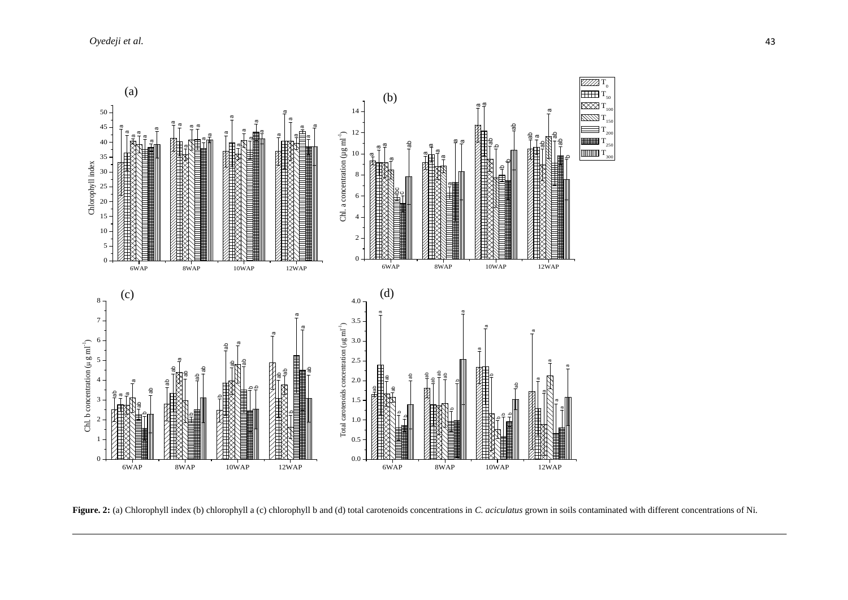

**Figure. 2:** (a) Chlorophyll index (b) chlorophyll a (c) chlorophyll b and (d) total carotenoids concentrations in *C. aciculatus* grown in soils contaminated with different concentrations of Ni.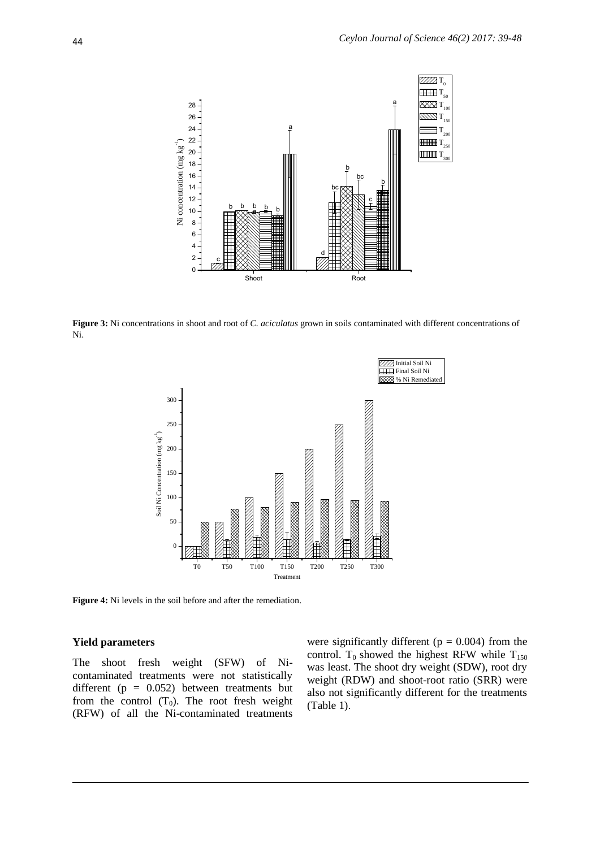

**Figure 3:** Ni concentrations in shoot and root of *C. aciculatus* grown in soils contaminated with different concentrations of Ni.



**Figure 4:** Ni levels in the soil before and after the remediation.

#### **Yield parameters**

The shoot fresh weight (SFW) of Nicontaminated treatments were not statistically different ( $p = 0.052$ ) between treatments but from the control  $(T_0)$ . The root fresh weight (RFW) of all the Ni-contaminated treatments

were significantly different ( $p = 0.004$ ) from the control. T<sub>0</sub> showed the highest RFW while  $T_{150}$ was least. The shoot dry weight (SDW), root dry weight (RDW) and shoot-root ratio (SRR) were also not significantly different for the treatments (Table 1).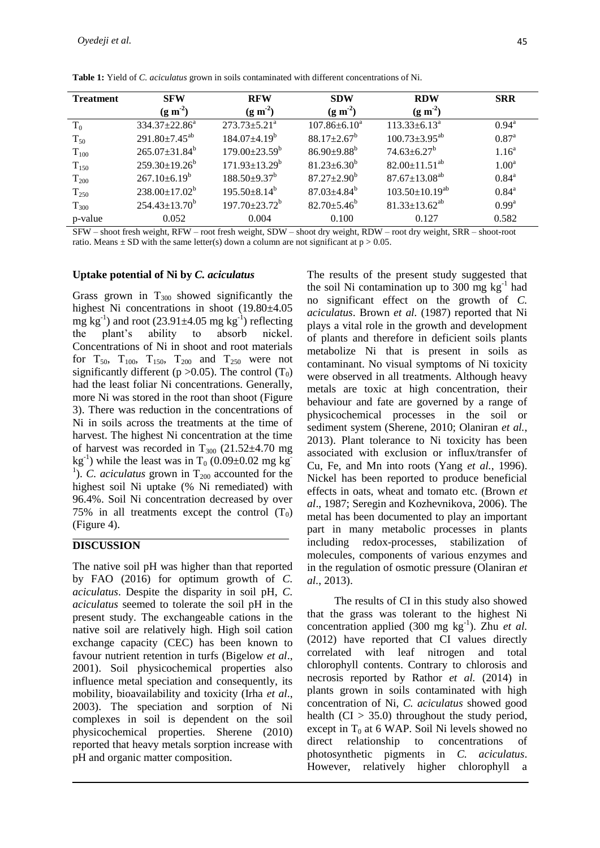| <b>Treatment</b> | <b>SFW</b>                      | <b>RFW</b>                      | <b>SDW</b>               | <b>RDW</b>              | <b>SRR</b>        |
|------------------|---------------------------------|---------------------------------|--------------------------|-------------------------|-------------------|
|                  | (g m <sup>2</sup> )             | (g m <sup>2</sup> )             | (g m <sup>2</sup> )      | (g m <sup>2</sup> )     |                   |
| $T_0$            | $334.37 \pm 22.86^a$            | $273.73 \pm 5.21^a$             | $107.86 \pm 6.10^a$      | $113.33 \pm 6.13^a$     | $0.94^{\rm a}$    |
| $T_{50}$         | $291.80 \pm 7.45$ <sup>ab</sup> | $184.07\pm4.19^b$               | $88.17 \pm 2.67^{\rm b}$ | $100.73 \pm 3.95^{ab}$  | $0.87^{a}$        |
| $T_{100}$        | $265.07 \pm 31.84^b$            | $179.00 \pm 23.59^{\mathrm{b}}$ | $86.90{\pm}9.88^b$       | $74.63 \pm 6.27^b$      | 1.16 <sup>a</sup> |
| $T_{150}$        | $259.30 \pm 19.26^b$            | $171.93 \pm 13.29^b$            | $81.23 \pm 6.30^b$       | $82.00 \pm 11.51^{ab}$  | 1.00 <sup>a</sup> |
| $T_{200}$        | $267.10\pm6.19^b$               | $188.50 \pm 9.37^b$             | $87.27 \pm 2.90^b$       | $87.67 \pm 13.08^{ab}$  | $0.84^{\text{a}}$ |
| $T_{250}$        | $238.00 \pm 17.02^b$            | $195.50 \pm 8.14^b$             | $87.03 \pm 4.84^b$       | $103.50 \pm 10.19^{ab}$ | $0.84^{\rm a}$    |
| $T_{300}$        | $254.43 \pm 13.70^b$            | $197.70 \pm 23.72^b$            | $82.70 \pm 5.46^{\circ}$ | $81.33 \pm 13.62^{ab}$  | 0.99 <sup>a</sup> |
| p-value          | 0.052                           | 0.004                           | 0.100                    | 0.127                   | 0.582             |

**Table 1:** Yield of *C. aciculatus* grown in soils contaminated with different concentrations of Ni.

SFW – shoot fresh weight, RFW – root fresh weight, SDW – shoot dry weight, RDW – root dry weight, SRR – shoot-root ratio. Means  $\pm$  SD with the same letter(s) down a column are not significant at  $p > 0.05$ .

## **Uptake potential of Ni by** *C. aciculatus*

Grass grown in  $T_{300}$  showed significantly the highest Ni concentrations in shoot (19.80±4.05 mg  $kg^{-1}$ ) and root (23.91 $\pm$ 4.05 mg  $kg^{-1}$ ) reflecting the plant's ability to absorb nickel. Concentrations of Ni in shoot and root materials for  $T_{50}$ ,  $T_{100}$ ,  $T_{150}$ ,  $T_{200}$  and  $T_{250}$  were not significantly different (p  $>0.05$ ). The control (T<sub>0</sub>) had the least foliar Ni concentrations. Generally, more Ni was stored in the root than shoot (Figure 3). There was reduction in the concentrations of Ni in soils across the treatments at the time of harvest. The highest Ni concentration at the time of harvest was recorded in  $T_{300}$  (21.52 $\pm$ 4.70 mg)  $kg^{-1}$ ) while the least was in T<sub>0</sub> (0.09±0.02 mg kg<sup>-</sup> <sup>1</sup>). *C. aciculatus* grown in  $T_{200}$  accounted for the highest soil Ni uptake (% Ni remediated) with 96.4%. Soil Ni concentration decreased by over 75% in all treatments except the control  $(T_0)$ (Figure 4).

# **DISCUSSION**

The native soil pH was higher than that reported by FAO (2016) for optimum growth of *C. aciculatus*. Despite the disparity in soil pH, *C. aciculatus* seemed to tolerate the soil pH in the present study. The exchangeable cations in the native soil are relatively high. High soil cation exchange capacity (CEC) has been known to favour nutrient retention in turfs (Bigelow *et al*., 2001). Soil physicochemical properties also influence metal speciation and consequently, its mobility, bioavailability and toxicity (Irha *et al*., 2003). The speciation and sorption of Ni complexes in soil is dependent on the soil physicochemical properties. Sherene (2010) reported that heavy metals sorption increase with pH and organic matter composition.

The results of the present study suggested that the soil Ni contamination up to  $300 \text{ mg kg}^{-1}$  had no significant effect on the growth of *C. aciculatus*. Brown *et al.* (1987) reported that Ni plays a vital role in the growth and development of plants and therefore in deficient soils plants metabolize Ni that is present in soils as contaminant. No visual symptoms of Ni toxicity were observed in all treatments. Although heavy metals are toxic at high concentration, their behaviour and fate are governed by a range of physicochemical processes in the soil or sediment system (Sherene, 2010; Olaniran *et al.*, 2013). Plant tolerance to Ni toxicity has been associated with exclusion or influx/transfer of Cu, Fe, and Mn into roots (Yang *et al.*, 1996). Nickel has been reported to produce beneficial effects in oats, wheat and tomato etc. (Brown *et al*., 1987; Seregin and Kozhevnikova, 2006). The metal has been documented to play an important part in many metabolic processes in plants including redox-processes, stabilization of molecules, components of various enzymes and in the regulation of osmotic pressure (Olaniran *et al.*, 2013).

The results of CI in this study also showed that the grass was tolerant to the highest Ni concentration applied (300 mg kg<sup>-1</sup>). Zhu et al. (2012) have reported that CI values directly correlated with leaf nitrogen and total chlorophyll contents. Contrary to chlorosis and necrosis reported by Rathor *et al.* (2014) in plants grown in soils contaminated with high concentration of Ni, *C. aciculatus* showed good health  $(CI > 35.0)$  throughout the study period, except in  $T_0$  at 6 WAP. Soil Ni levels showed no direct relationship to concentrations of photosynthetic pigments in *C. aciculatus*. However, relatively higher chlorophyll a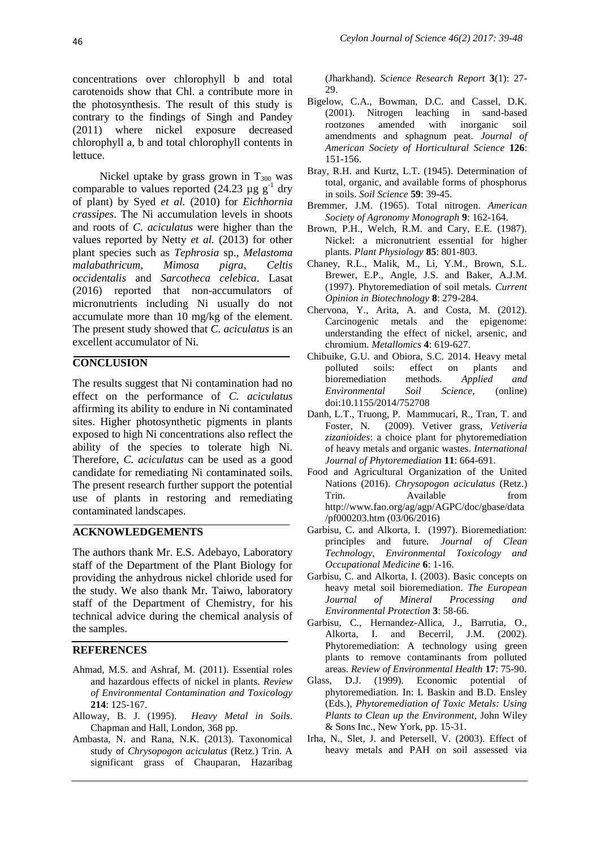concentrations over chlorophyll b and total carotenoids show that Chl. a contribute more in the photosynthesis. The result of this study is contrary to the findings of Singh and Pandey (2011) where nickel exposure decreased chlorophyll a, b and total chlorophyll contents in lettuce.

Nickel uptake by grass grown in  $T_{300}$  was comparable to values reported  $(24.23 \text{ µg g}^{-1} \text{ dry})$ of plant) by Syed *et al.* (2010) for *Eichhornia crassipes*. The Ni accumulation levels in shoots and roots of *C. aciculatus* were higher than the values reported by Netty *et al.* (2013) for other plant species such as *Tephrosia* sp., *Melastoma malabathricum*, *Mimosa pigra*, *Celtis occidentalis* and *Sarcotheca celebica*. Lasat (2016) reported that non-accumulators of micronutrients including Ni usually do not accumulate more than 10 mg/kg of the element. The present study showed that *C. aciculatus* is an excellent accumulator of Ni.

# **CONCLUSION**

The results suggest that Ni contamination had no effect on the performance of *C. aciculatus*  affirming its ability to endure in Ni contaminated sites. Higher photosynthetic pigments in plants exposed to high Ni concentrations also reflect the ability of the species to tolerate high Ni. Therefore, *C. aciculatus* can be used as a good candidate for remediating Ni contaminated soils. The present research further support the potential use of plants in restoring and remediating contaminated landscapes.

## **ACKNOWLEDGEMENTS**

The authors thank Mr. E.S. Adebayo, Laboratory staff of the Department of the Plant Biology for providing the anhydrous nickel chloride used for the study. We also thank Mr. Taiwo, laboratory staff of the Department of Chemistry, for his technical advice during the chemical analysis of the samples.

#### **REFERENCES**

- Ahmad, M.S. and Ashraf, M. (2011). Essential roles and hazardous effects of nickel in plants*. Review of Environmental Contamination and Toxicology* **214**: 125-167.
- Alloway, B. J. (1995). *Heavy Metal in Soils*. Chapman and Hall, London, 368 pp.
- Ambasta, N. and Rana, N.K. (2013). Taxonomical study of *Chrysopogon aciculatus* (Retz.) Trin. A significant grass of Chauparan, Hazaribag

(Jharkhand). *Science Research Report* **3**(1): 27- 29.

- Bigelow, C.A., Bowman, D.C. and Cassel, D.K. (2001). Nitrogen leaching in sand-based rootzones amended with inorganic soil amendments and sphagnum peat. *Journal of American Society of Horticultural Science* **126**: 151-156.
- Bray, R.H. and Kurtz, L.T. (1945). Determination of total, organic, and available forms of phosphorus in soils. *Soil Science* **59**: 39-45.
- Bremmer, J.M. (1965). Total nitrogen. *American Society of Agronomy Monograph* **9**: 162-164.
- Brown, P.H., Welch, R.M. and Cary, E.E. (1987). Nickel: a micronutrient essential for higher plants. *Plant Physiology* **85**: 801-803.
- Chaney, R.L., Malik, M., Li, Y.M., Brown, S.L. Brewer, E.P., Angle, J.S. and Baker, A.J.M. (1997). Phytoremediation of soil metals. *Current Opinion in Biotechnology* **8**: 279-284.
- Chervona, Y., Arita, A. and Costa, M. (2012). Carcinogenic metals and the epigenome: understanding the effect of nickel, arsenic, and chromium. *Metallomics* **4**: 619-627.
- Chibuike, G.U. and Obiora, S.C. 2014. Heavy metal polluted soils: effect on plants and bioremediation methods. *Applied and Environmental Soil Science*, (online) doi:10.1155/2014/752708
- Danh, L.T., Truong, P. Mammucari, R., Tran, T. and Foster, N. (2009). Vetiver grass, *Vetiveria zizanioides*: a choice plant for phytoremediation of heavy metals and organic wastes. *International Journal of Phytoremediation* **11**: 664-691.
- Food and Agricultural Organization of the United Nations (2016). *Chrysopogon aciculatus* (Retz.) Trin. Available from [http://www.fao.org/ag/agp/AGPC/doc/gbase/data](http://www.fao.org/ag/agp/AGPC/doc/gbase/data/pf000203.htm) [/pf000203.htm](http://www.fao.org/ag/agp/AGPC/doc/gbase/data/pf000203.htm) (03/06/2016)
- Garbisu, C. and Alkorta, I. (1997). Bioremediation: principles and future. *Journal of Clean Technology, Environmental Toxicology and Occupational Medicine* **6**: 1-16.
- Garbisu, C. and Alkorta, I. (2003). Basic concepts on heavy metal soil bioremediation. *The European Journal of Mineral Processing and Environmental Protection* **3**: 58-66.
- Garbisu, C., Hernandez-Allica, J., Barrutia, O., Alkorta, I. and Becerril, J.M. (2002). Phytoremediation: A technology using green plants to remove contaminants from polluted areas. *Review of Environmental Health* **17**: 75-90.
- Glass, D.J. (1999). Economic potential of phytoremediation. In: I. Baskin and B.D. Ensley (Eds.), *Phytoremediation of Toxic Metals: Using Plants to Clean up the Environment*, John Wiley & Sons Inc., New York, pp. 15-31.
- Irha, N., Slet, J. and Petersell, V. (2003). Effect of heavy metals and PAH on soil assessed via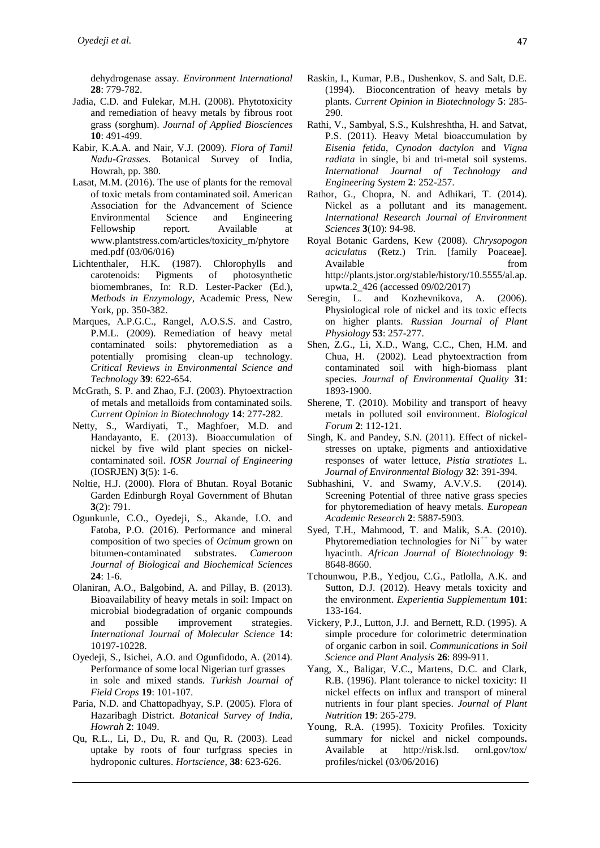dehydrogenase assay. *Environment International* **28**: 779-782.

- Jadia, C.D. and Fulekar, M.H. (2008). Phytotoxicity and remediation of heavy metals by fibrous root grass (sorghum). *Journal of Applied Biosciences* **10**: 491-499.
- Kabir, K.A.A. and Nair, V.J. (2009). *Flora of Tamil Nadu-Grasses*. Botanical Survey of India, Howrah, pp. 380.
- Lasat, M.M. (2016). The use of plants for the removal of toxic metals from contaminated soil. American Association for the Advancement of Science Environmental Science and Engineering Fellowship report. Available at www.plantstress.com/articles/toxicity\_m/phytore med.pdf (03/06/016)
- Lichtenthaler, H.K. (1987). Chlorophylls and carotenoids: Pigments of photosynthetic biomembranes, In: R.D. Lester-Packer (Ed.), *Methods in Enzymology*, Academic Press, New York, pp. 350-382.
- Marques, A.P.G.C., Rangel, A.O.S.S. and Castro, P.M.L. (2009). Remediation of heavy metal contaminated soils: phytoremediation as a potentially promising clean-up technology. *Critical Reviews in Environmental Science and Technology* **39**: 622-654.
- McGrath, S. P. and Zhao, F.J. (2003). Phytoextraction of metals and metalloids from contaminated soils. *Current Opinion in Biotechnology* **14**: 277-282.
- Netty, S., Wardiyati, T., Maghfoer, M.D. and Handayanto, E. (2013). Bioaccumulation of nickel by five wild plant species on nickelcontaminated soil. *IOSR Journal of Engineering*  (IOSRJEN) **3**(5): 1-6.
- Noltie, H.J. (2000). Flora of Bhutan. Royal Botanic Garden Edinburgh Royal Government of Bhutan **3**(2): 791.
- Ogunkunle, C.O., Oyedeji, S., Akande, I.O. and Fatoba, P.O. (2016). Performance and mineral composition of two species of *Ocimum* grown on bitumen-contaminated substrates. *Cameroon Journal of Biological and Biochemical Sciences* **24**: 1-6.
- Olaniran, A.O., Balgobind, A. and Pillay, B. (2013). Bioavailability of heavy metals in soil: Impact on microbial biodegradation of organic compounds and possible improvement strategies. *International Journal of Molecular Science* **14**: 10197-10228.
- Oyedeji, S., Isichei, A.O. and Ogunfidodo, A. (2014). Performance of some local Nigerian turf grasses in sole and mixed stands. *Turkish Journal of Field Crops* **19**: 101-107.
- Paria, N.D. and Chattopadhyay, S.P. (2005). Flora of Hazaribagh District. *Botanical Survey of India, Howrah* **2**: 1049.
- Qu, R.L., Li, D., Du, R. and Qu, R. (2003). Lead uptake by roots of four turfgrass species in hydroponic cultures. *Hortscience*, **38**: 623-626.
- Raskin, I., Kumar, P.B., Dushenkov, S. and Salt, D.E. (1994). Bioconcentration of heavy metals by plants. *Current Opinion in Biotechnology* **5**: 285- 290.
- Rathi, V., Sambyal, S.S., Kulshreshtha, H. and Satvat, P.S. (2011). Heavy Metal bioaccumulation by *Eisenia fetida*, *Cynodon dactylon* and *Vigna radiata* in single, bi and tri-metal soil systems. *International Journal of Technology and Engineering System* **2**: 252-257.
- Rathor, G., Chopra, N. and Adhikari, T. (2014). Nickel as a pollutant and its management. *International Research Journal of Environment Sciences* **3**(10): 94-98.
- Royal Botanic Gardens, Kew (2008). *Chrysopogon aciculatus* (Retz.) Trin. [family Poaceae]. Available from  $\mathbf{f}$ http://plants.jstor.org/stable/history/10.5555/al.ap. upwta.2\_426 (accessed 09/02/2017)
- Seregin, L. and Kozhevnikova, A. (2006). Physiological role of nickel and its toxic effects on higher plants. *Russian Journal of Plant Physiology* **53**: 257-277.
- Shen, Z.G., Li, X.D., Wang, C.C., Chen, H.M. and Chua, H. (2002). Lead phytoextraction from contaminated soil with high-biomass plant species. *Journal of Environmental Quality* **31**: 1893-1900.
- Sherene, T. (2010). Mobility and transport of heavy metals in polluted soil environment. *Biological Forum* **2**: 112-121.
- Singh, K. and Pandey, S.N. (2011). Effect of nickelstresses on uptake, pigments and antioxidative responses of water lettuce, *Pistia stratiotes* L. *Journal of Environmental Biology* **32**: 391-394.
- Subhashini, V. and Swamy, A.V.V.S. (2014). Screening Potential of three native grass species for phytoremediation of heavy metals. *European Academic Research* **2**: 5887-5903.
- Syed, T.H., Mahmood, T. and Malik, S.A. (2010). Phytoremediation technologies for  $Ni^{++}$  by water hyacinth. *African Journal of Biotechnology* **9**: 8648-8660.
- Tchounwou, P.B., Yedjou, C.G., Patlolla, A.K. and Sutton, D.J. (2012). Heavy metals toxicity and the environment. *Experientia Supplementum* **101**: 133-164.
- Vickery, P.J., Lutton, J.J. and Bernett, R.D. (1995). A simple procedure for colorimetric determination of organic carbon in soil. *Communications in Soil Science and Plant Analysis* **26**: 899-911.
- Yang, X., Baligar, V.C., Martens, D.C. and Clark, R.B. (1996). Plant tolerance to nickel toxicity: II nickel effects on influx and transport of mineral nutrients in four plant species. *Journal of Plant Nutrition* **19**: 265-279.
- Young, R.A. (1995). Toxicity Profiles. Toxicity summary for nickel and nickel compounds**.** Available at http://risk.lsd. ornl.gov/tox/ profiles/nickel (03/06/2016)